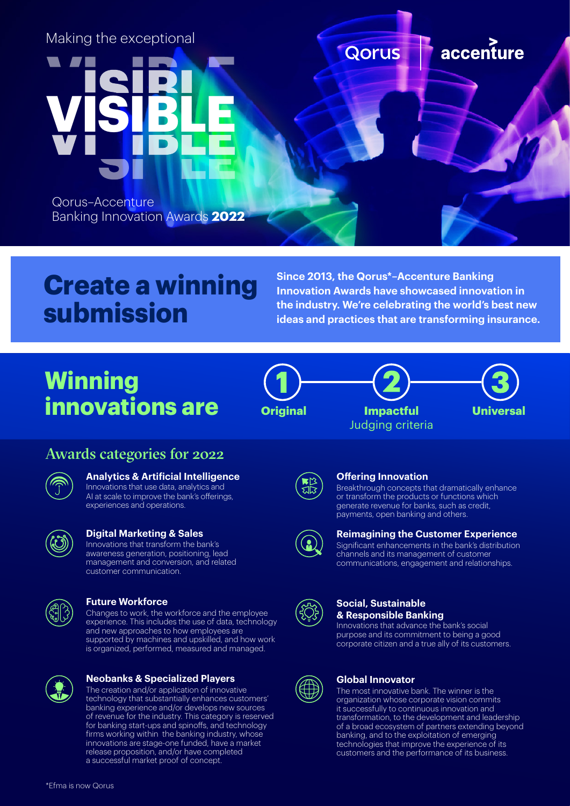

# **Create a winning submission**

**Since 2013, the Qorus\*–Accenture Banking Innovation Awards have showcased innovation in the industry. We're celebrating the world's best new ideas and practices that are transforming insurance.**

# **Winning innovations are**



Judging criteria **Impactful Universal**



## Awards categories for 2022



### **Analytics & Artificial Intelligence**

Innovations that use data, analytics and AI at scale to improve the bank's offerings, experiences and operations.



#### **Digital Marketing & Sales**

Innovations that transform the bank's awareness generation, positioning, lead management and conversion, and related customer communication.



#### **Future Workforce**

Changes to work, the workforce and the employee experience. This includes the use of data, technology and new approaches to how employees are supported by machines and upskilled, and how work is organized, performed, measured and managed.



#### **Neobanks & Specialized Players**

The creation and/or application of innovative technology that substantially enhances customers' banking experience and/or develops new sources of revenue for the industry. This category is reserved for banking start-ups and spinoffs, and technology firms working within the banking industry, whose innovations are stage-one funded, have a market release proposition, and/or have completed a successful market proof of concept.



#### **Offering Innovation**

Breakthrough concepts that dramatically enhance or transform the products or functions which generate revenue for banks, such as credit, payments, open banking and others.



#### **Reimagining the Customer Experience**

Significant enhancements in the bank's distribution channels and its management of customer communications, engagement and relationships.



#### **Social, Sustainable & Responsible Banking**

Innovations that advance the bank's social purpose and its commitment to being a good corporate citizen and a true ally of its customers.



#### **Global Innovator**

The most innovative bank. The winner is the organization whose corporate vision commits it successfully to continuous innovation and transformation, to the development and leadership of a broad ecosystem of partners extending beyond banking, and to the exploitation of emerging technologies that improve the experience of its customers and the performance of its business.